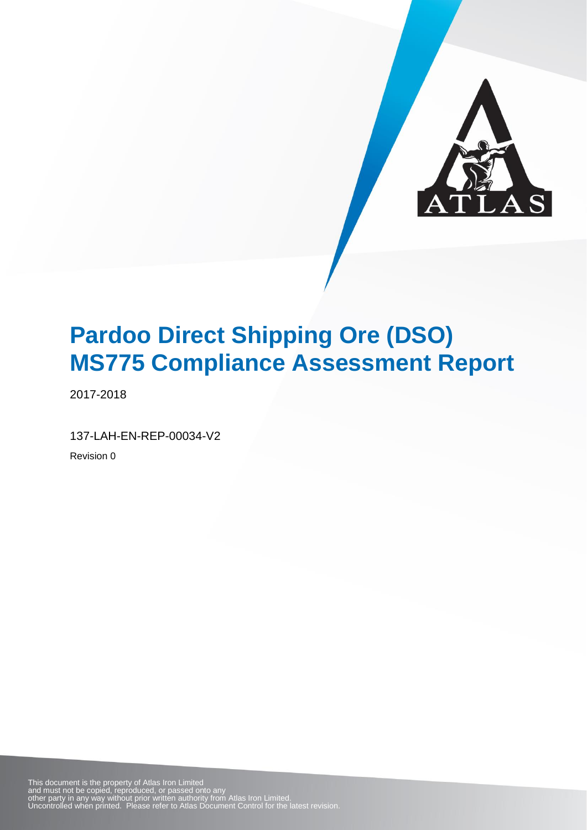

2017-2018

137-LAH-EN-REP-00034-V2

Revision 0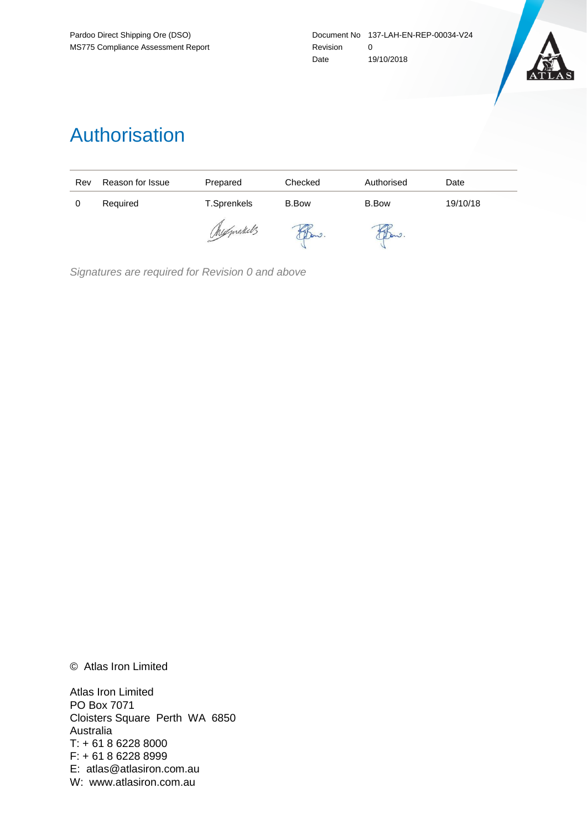

## Authorisation

| Rev | Reason for Issue | Prepared    | Checked      | Authorised   | Date     |
|-----|------------------|-------------|--------------|--------------|----------|
| 0   | Required         | T.Sprenkels | <b>B.Bow</b> | <b>B.Bow</b> | 19/10/18 |
|     |                  | Mexprakels  | Dow.         | Daw.         |          |

*Signatures are required for Revision 0 and above*

© Atlas Iron Limited

Atlas Iron Limited PO Box 7071 Cloisters Square Perth WA 6850 Australia T: + 61 8 6228 8000 F: + 61 8 6228 8999 E: atlas@atlasiron.com.au W: www.atlasiron.com.au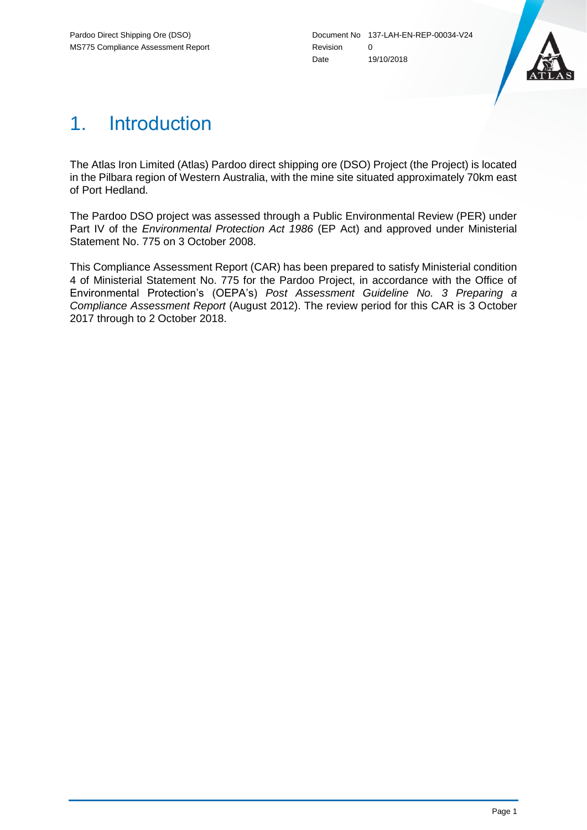

## 1. Introduction

The Atlas Iron Limited (Atlas) Pardoo direct shipping ore (DSO) Project (the Project) is located in the Pilbara region of Western Australia, with the mine site situated approximately 70km east of Port Hedland.

The Pardoo DSO project was assessed through a Public Environmental Review (PER) under Part IV of the *Environmental Protection Act 1986* (EP Act) and approved under Ministerial Statement No. 775 on 3 October 2008.

This Compliance Assessment Report (CAR) has been prepared to satisfy Ministerial condition 4 of Ministerial Statement No. 775 for the Pardoo Project, in accordance with the Office of Environmental Protection's (OEPA's) *Post Assessment Guideline No. 3 Preparing a Compliance Assessment Report* (August 2012). The review period for this CAR is 3 October 2017 through to 2 October 2018.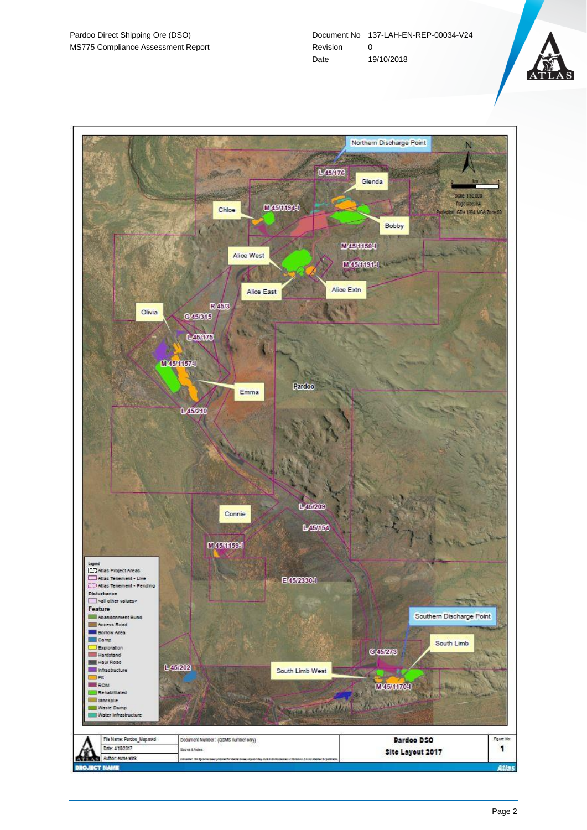

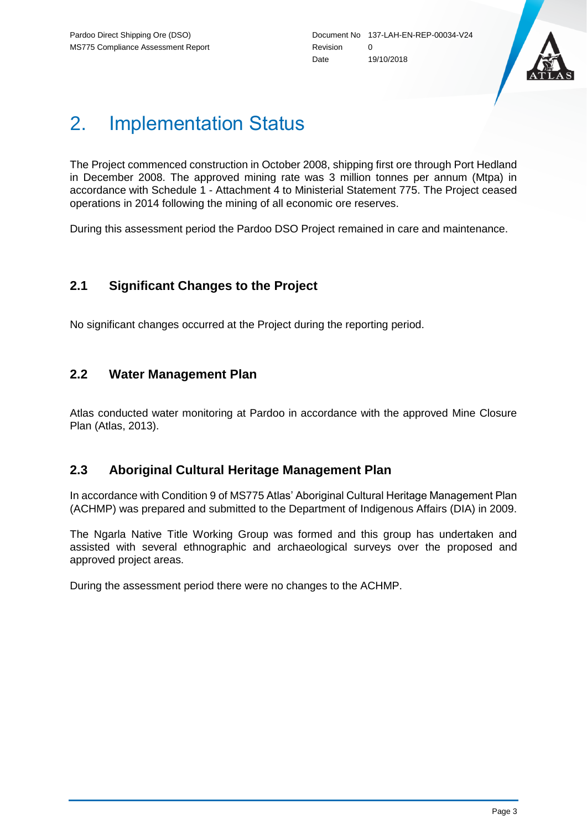

# 2. Implementation Status

The Project commenced construction in October 2008, shipping first ore through Port Hedland in December 2008. The approved mining rate was 3 million tonnes per annum (Mtpa) in accordance with Schedule 1 - Attachment 4 to Ministerial Statement 775. The Project ceased operations in 2014 following the mining of all economic ore reserves.

During this assessment period the Pardoo DSO Project remained in care and maintenance.

### **2.1 Significant Changes to the Project**

No significant changes occurred at the Project during the reporting period.

### **2.2 Water Management Plan**

Atlas conducted water monitoring at Pardoo in accordance with the approved Mine Closure Plan (Atlas, 2013).

### **2.3 Aboriginal Cultural Heritage Management Plan**

In accordance with Condition 9 of MS775 Atlas' Aboriginal Cultural Heritage Management Plan (ACHMP) was prepared and submitted to the Department of Indigenous Affairs (DIA) in 2009.

The Ngarla Native Title Working Group was formed and this group has undertaken and assisted with several ethnographic and archaeological surveys over the proposed and approved project areas.

During the assessment period there were no changes to the ACHMP.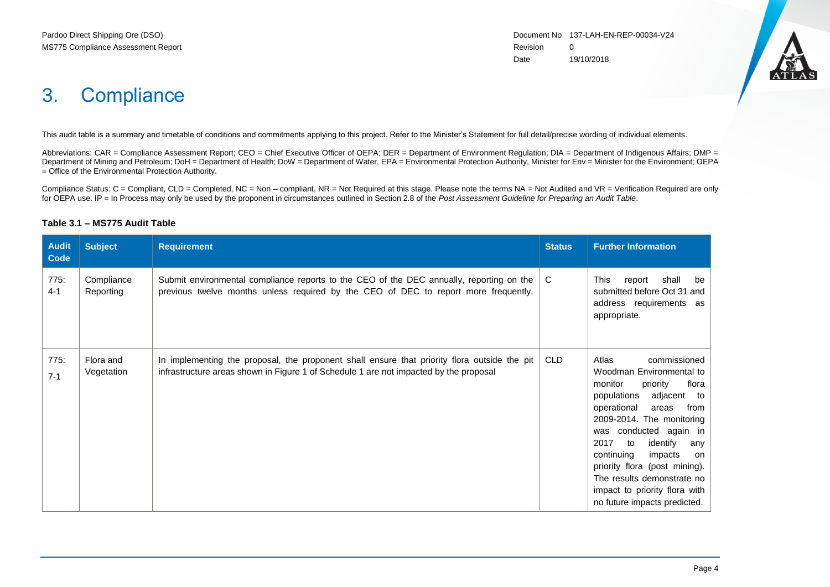

## 3. Compliance

This audit table is a summary and timetable of conditions and commitments applying to this project. Refer to the Minister's Statement for full detail/precise wording of individual elements.

Abbreviations: CAR = Compliance Assessment Report; CEO = Chief Executive Officer of OEPA; DER = Department of Environment Regulation; DIA = Department of Indigenous Affairs; DMP = Department of Mining and Petroleum; DoH = Department of Health; DoW = Department of Water, EPA = Environmental Protection Authority, Minister for Env = Minister for the Environment; OEPA = Office of the Environmental Protection Authority.

Compliance Status: C = Compliant, CLD = Completed, NC = Non – compliant, NR = Not Required at this stage. Please note the terms NA = Not Audited and VR = Verification Required are only for OEPA use. IP = In Process may only be used by the proponent in circumstances outlined in Section 2.8 of the *Post Assessment Guideline for Preparing an Audit Table*.

#### **Table 3.1 – MS775 Audit Table**

| <b>Audit</b><br><b>Code</b> | <b>Subject</b>          | <b>Requirement</b>                                                                                                                                                                    | <b>Status</b> | <b>Further Information</b>                                                                                                                                                                                                                                                                                                                                                                             |
|-----------------------------|-------------------------|---------------------------------------------------------------------------------------------------------------------------------------------------------------------------------------|---------------|--------------------------------------------------------------------------------------------------------------------------------------------------------------------------------------------------------------------------------------------------------------------------------------------------------------------------------------------------------------------------------------------------------|
| 775:<br>$4 - 1$             | Compliance<br>Reporting | Submit environmental compliance reports to the CEO of the DEC annually, reporting on the<br>previous twelve months unless required by the CEO of DEC to report more frequently.       | C.            | This<br>shall<br>report<br>be<br>submitted before Oct 31 and<br>address requirements as<br>appropriate.                                                                                                                                                                                                                                                                                                |
| 775:<br>$7 - 1$             | Flora and<br>Vegetation | In implementing the proposal, the proponent shall ensure that priority flora outside the pit<br>infrastructure areas shown in Figure 1 of Schedule 1 are not impacted by the proposal | CLD           | Atlas<br>commissioned<br>Woodman Environmental to<br>monitor<br>priority<br>flora<br>populations<br>adjacent to<br>operational<br>from<br>areas<br>2009-2014. The monitoring<br>was conducted again in<br>2017<br>identify<br>to<br>any<br>continuing<br>impacts<br>on<br>priority flora (post mining).<br>The results demonstrate no<br>impact to priority flora with<br>no future impacts predicted. |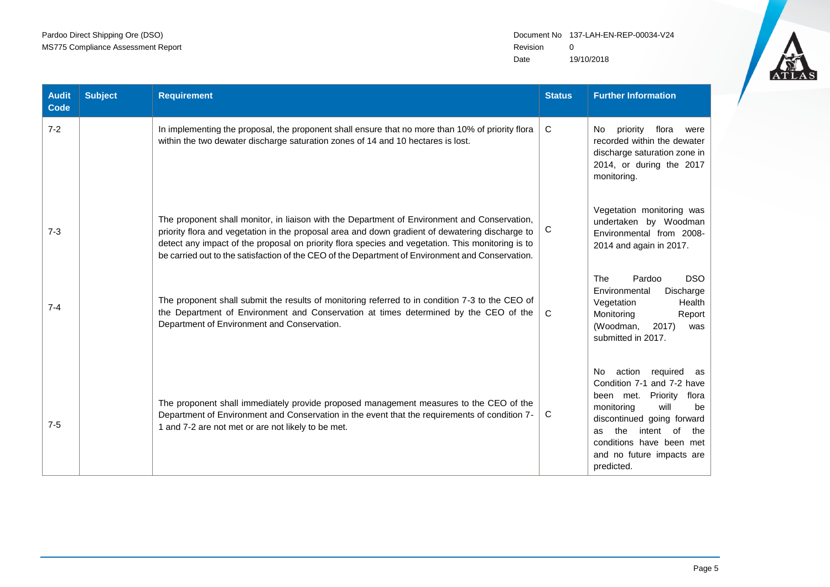

| <b>Audit</b><br><b>Code</b> | <b>Subject</b> | <b>Requirement</b>                                                                                                                                                                                                                                                                                                                                                                                       | <b>Status</b> | <b>Further Information</b>                                                                                                                                                                                                                                            |
|-----------------------------|----------------|----------------------------------------------------------------------------------------------------------------------------------------------------------------------------------------------------------------------------------------------------------------------------------------------------------------------------------------------------------------------------------------------------------|---------------|-----------------------------------------------------------------------------------------------------------------------------------------------------------------------------------------------------------------------------------------------------------------------|
| $7 - 2$                     |                | In implementing the proposal, the proponent shall ensure that no more than 10% of priority flora<br>within the two dewater discharge saturation zones of 14 and 10 hectares is lost.                                                                                                                                                                                                                     | C             | priority<br>flora<br>No.<br>were<br>recorded within the dewater<br>discharge saturation zone in<br>2014, or during the 2017<br>monitoring.                                                                                                                            |
| $7 - 3$                     |                | The proponent shall monitor, in liaison with the Department of Environment and Conservation,<br>priority flora and vegetation in the proposal area and down gradient of dewatering discharge to<br>detect any impact of the proposal on priority flora species and vegetation. This monitoring is to<br>be carried out to the satisfaction of the CEO of the Department of Environment and Conservation. | C             | Vegetation monitoring was<br>undertaken by Woodman<br>Environmental from 2008-<br>2014 and again in 2017.                                                                                                                                                             |
| $7 - 4$                     |                | The proponent shall submit the results of monitoring referred to in condition 7-3 to the CEO of<br>the Department of Environment and Conservation at times determined by the CEO of the<br>Department of Environment and Conservation.                                                                                                                                                                   | $\mathsf{C}$  | The<br>Pardoo<br><b>DSO</b><br>Environmental<br>Discharge<br>Vegetation<br>Health<br>Monitoring<br>Report<br>(Woodman,<br>2017<br>was<br>submitted in 2017.                                                                                                           |
| $7 - 5$                     |                | The proponent shall immediately provide proposed management measures to the CEO of the<br>Department of Environment and Conservation in the event that the requirements of condition 7-<br>1 and 7-2 are not met or are not likely to be met.                                                                                                                                                            | C             | action required as<br>No.<br>Condition 7-1 and 7-2 have<br>Priority<br>flora<br>been met.<br>monitoring<br>will<br>be<br>discontinued going forward<br>the<br>intent<br>0f<br>the<br><b>as</b><br>conditions have been met<br>and no future impacts are<br>predicted. |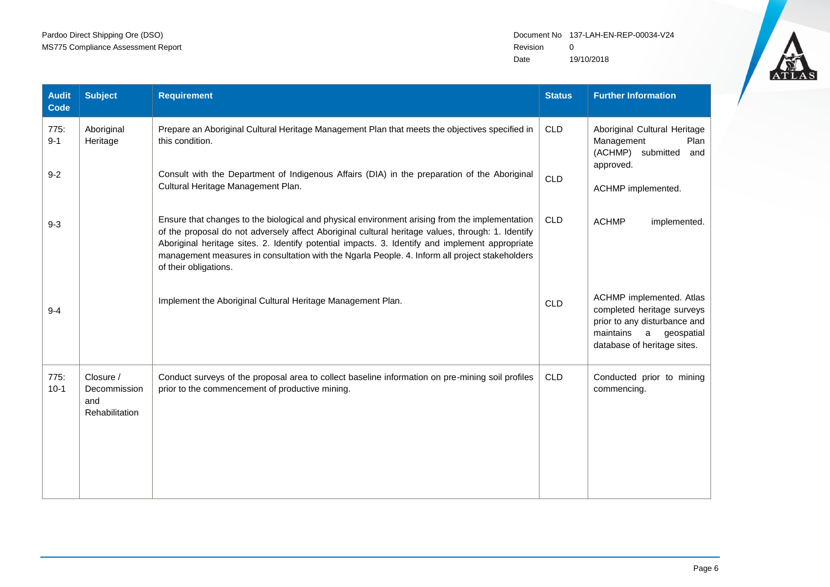

| <b>Audit</b><br>Code | <b>Subject</b>                                     | <b>Requirement</b>                                                                                                                                                                                                                                                                                                                                                                                                                | <b>Status</b> | <b>Further Information</b>                                                                                                                            |
|----------------------|----------------------------------------------------|-----------------------------------------------------------------------------------------------------------------------------------------------------------------------------------------------------------------------------------------------------------------------------------------------------------------------------------------------------------------------------------------------------------------------------------|---------------|-------------------------------------------------------------------------------------------------------------------------------------------------------|
| 775:<br>$9 - 1$      | Aboriginal<br>Heritage                             | Prepare an Aboriginal Cultural Heritage Management Plan that meets the objectives specified in<br>this condition.                                                                                                                                                                                                                                                                                                                 | <b>CLD</b>    | Aboriginal Cultural Heritage<br>Management<br>Plan<br>(ACHMP) submitted<br>and<br>approved.<br>ACHMP implemented.                                     |
| $9 - 2$              |                                                    | Consult with the Department of Indigenous Affairs (DIA) in the preparation of the Aboriginal<br>Cultural Heritage Management Plan.                                                                                                                                                                                                                                                                                                | <b>CLD</b>    |                                                                                                                                                       |
| $9 - 3$              |                                                    | Ensure that changes to the biological and physical environment arising from the implementation<br>of the proposal do not adversely affect Aboriginal cultural heritage values, through: 1. Identify<br>Aboriginal heritage sites. 2. Identify potential impacts. 3. Identify and implement appropriate<br>management measures in consultation with the Ngarla People. 4. Inform all project stakeholders<br>of their obligations. | <b>CLD</b>    | <b>ACHMP</b><br>implemented.                                                                                                                          |
| $9 - 4$              |                                                    | Implement the Aboriginal Cultural Heritage Management Plan.                                                                                                                                                                                                                                                                                                                                                                       | <b>CLD</b>    | ACHMP implemented. Atlas<br>completed heritage surveys<br>prior to any disturbance and<br>maintains<br>geospatial<br>a<br>database of heritage sites. |
| 775:<br>$10-1$       | Closure /<br>Decommission<br>and<br>Rehabilitation | Conduct surveys of the proposal area to collect baseline information on pre-mining soil profiles<br>prior to the commencement of productive mining.                                                                                                                                                                                                                                                                               | <b>CLD</b>    | Conducted prior to mining<br>commencing.                                                                                                              |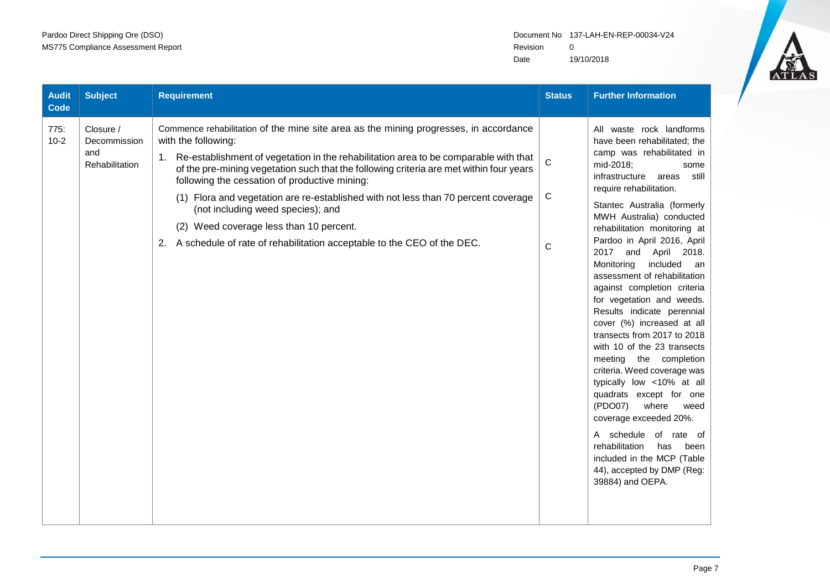

| <b>Audit</b><br><b>Code</b> | <b>Subject</b>                                     | <b>Requirement</b>                                                                                                                                                                                                                                                                                                                                                                                                                                                                                                                                                                                     | <b>Status</b> | <b>Further Information</b>                                                                                                                                                                                                                                                                                                                                                                                                                                                                                                                                                                                                                                                                                                                                                                                                                                                                         |
|-----------------------------|----------------------------------------------------|--------------------------------------------------------------------------------------------------------------------------------------------------------------------------------------------------------------------------------------------------------------------------------------------------------------------------------------------------------------------------------------------------------------------------------------------------------------------------------------------------------------------------------------------------------------------------------------------------------|---------------|----------------------------------------------------------------------------------------------------------------------------------------------------------------------------------------------------------------------------------------------------------------------------------------------------------------------------------------------------------------------------------------------------------------------------------------------------------------------------------------------------------------------------------------------------------------------------------------------------------------------------------------------------------------------------------------------------------------------------------------------------------------------------------------------------------------------------------------------------------------------------------------------------|
| 775:<br>$10-2$              | Closure /<br>Decommission<br>and<br>Rehabilitation | Commence rehabilitation of the mine site area as the mining progresses, in accordance<br>with the following:<br>Re-establishment of vegetation in the rehabilitation area to be comparable with that<br>of the pre-mining vegetation such that the following criteria are met within four years<br>following the cessation of productive mining:<br>(1) Flora and vegetation are re-established with not less than 70 percent coverage<br>(not including weed species); and<br>(2) Weed coverage less than 10 percent.<br>A schedule of rate of rehabilitation acceptable to the CEO of the DEC.<br>2. | C<br>C<br>C   | All waste rock landforms<br>have been rehabilitated; the<br>camp was rehabilitated in<br>mid-2018;<br>some<br>infrastructure<br>areas<br>still<br>require rehabilitation.<br>Stantec Australia (formerly<br>MWH Australia) conducted<br>rehabilitation monitoring at<br>Pardoo in April 2016, April<br>2017 and April 2018.<br>Monitoring<br>included<br>an<br>assessment of rehabilitation<br>against completion criteria<br>for vegetation and weeds.<br>Results indicate perennial<br>cover (%) increased at all<br>transects from 2017 to 2018<br>with 10 of the 23 transects<br>meeting the completion<br>criteria. Weed coverage was<br>typically low <10% at all<br>quadrats except for one<br>(PDO07)<br>where<br>weed<br>coverage exceeded 20%.<br>A schedule of rate of<br>rehabilitation<br>has<br>been<br>included in the MCP (Table<br>44), accepted by DMP (Reg:<br>39884) and OEPA. |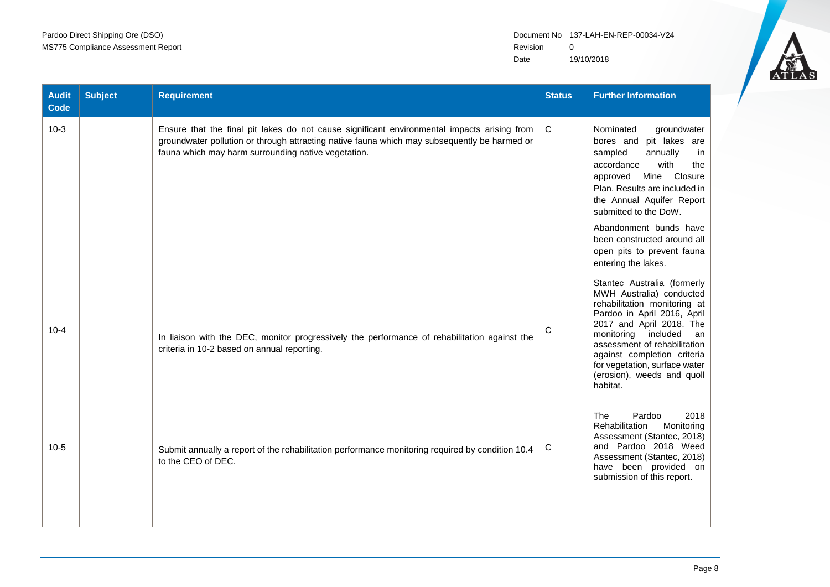

| <b>Audit</b><br>Code | <b>Subject</b> | <b>Requirement</b>                                                                                                                                                                                                                                 | <b>Status</b> | <b>Further Information</b>                                                                                                                                                                                                                                                                                                |
|----------------------|----------------|----------------------------------------------------------------------------------------------------------------------------------------------------------------------------------------------------------------------------------------------------|---------------|---------------------------------------------------------------------------------------------------------------------------------------------------------------------------------------------------------------------------------------------------------------------------------------------------------------------------|
| $10-3$               |                | Ensure that the final pit lakes do not cause significant environmental impacts arising from<br>groundwater pollution or through attracting native fauna which may subsequently be harmed or<br>fauna which may harm surrounding native vegetation. | C             | Nominated<br>groundwater<br>pit lakes are<br>bores and<br>annually<br>sampled<br>in<br>accordance<br>with<br>the<br>Mine Closure<br>approved<br>Plan. Results are included in<br>the Annual Aquifer Report<br>submitted to the DoW.                                                                                       |
|                      |                |                                                                                                                                                                                                                                                    |               | Abandonment bunds have<br>been constructed around all<br>open pits to prevent fauna<br>entering the lakes.                                                                                                                                                                                                                |
| $10 - 4$             |                | In liaison with the DEC, monitor progressively the performance of rehabilitation against the<br>criteria in 10-2 based on annual reporting.                                                                                                        | C             | Stantec Australia (formerly<br>MWH Australia) conducted<br>rehabilitation monitoring at<br>Pardoo in April 2016, April<br>2017 and April 2018. The<br>monitoring included<br>an<br>assessment of rehabilitation<br>against completion criteria<br>for vegetation, surface water<br>(erosion), weeds and quoll<br>habitat. |
| $10-5$               |                | Submit annually a report of the rehabilitation performance monitoring required by condition 10.4<br>to the CEO of DEC.                                                                                                                             | C             | Pardoo<br>2018<br><b>The</b><br>Rehabilitation<br>Monitoring<br>Assessment (Stantec, 2018)<br>and Pardoo 2018 Weed<br>Assessment (Stantec, 2018)<br>have been provided on<br>submission of this report.                                                                                                                   |